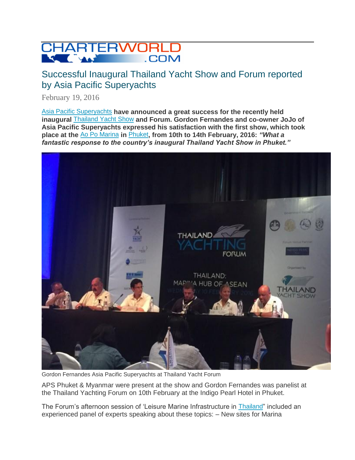

## Successful Inaugural Thailand Yacht Show and Forum reported by Asia Pacific Superyachts

February 19, 2016

[Asia Pacific Superyachts](http://www.charterworld.com/news/summary/asia-pacific-superyachts) **have announced a great success for the recently held inaugural** [Thailand Yacht Show](http://www.charterworld.com/news/summary/thailand-yacht-show) **and Forum. Gordon Fernandes and co-owner JoJo of Asia Pacific Superyachts expressed his satisfaction with the first show, which took place at the** [Ao Po Marina](http://www.charterworld.com/news/summary/ao-po-grand-marina) **in** [Phuket](http://www.charterworld.com/?sub=phuket-yacht-charter)**, from 10th to 14th February, 2016:** *"What a fantastic response to the country's inaugural Thailand Yacht Show in Phuket."*



Gordon Fernandes Asia Pacific Superyachts at Thailand Yacht Forum

APS Phuket & Myanmar were present at the show and Gordon Fernandes was panelist at the Thailand Yachting Forum on 10th February at the Indigo Pearl Hotel in Phuket.

The Forum's afternoon session of 'Leisure Marine Infrastructure in [Thailand](http://www.charterworld.com/index.html?sub=thailand-yacht-charter)" included an experienced panel of experts speaking about these topics: – New sites for Marina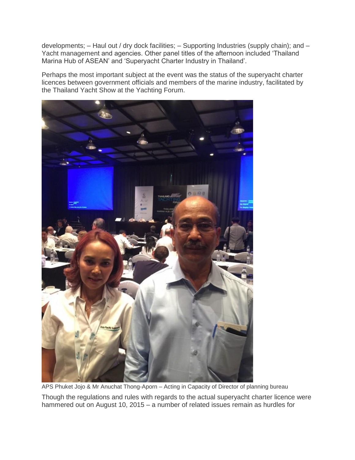developments; – Haul out / dry dock facilities; – Supporting Industries (supply chain); and – Yacht management and agencies. Other panel titles of the afternoon included "Thailand Marina Hub of ASEAN" and "Superyacht Charter Industry in Thailand".

Perhaps the most important subject at the event was the status of the superyacht charter licences between government officials and members of the marine industry, facilitated by the Thailand Yacht Show at the Yachting Forum.



APS Phuket Jojo & Mr Anuchat Thong-Aporn – Acting in Capacity of Director of planning bureau

Though the regulations and rules with regards to the actual superyacht charter licence were hammered out on August 10, 2015 – a number of related issues remain as hurdles for